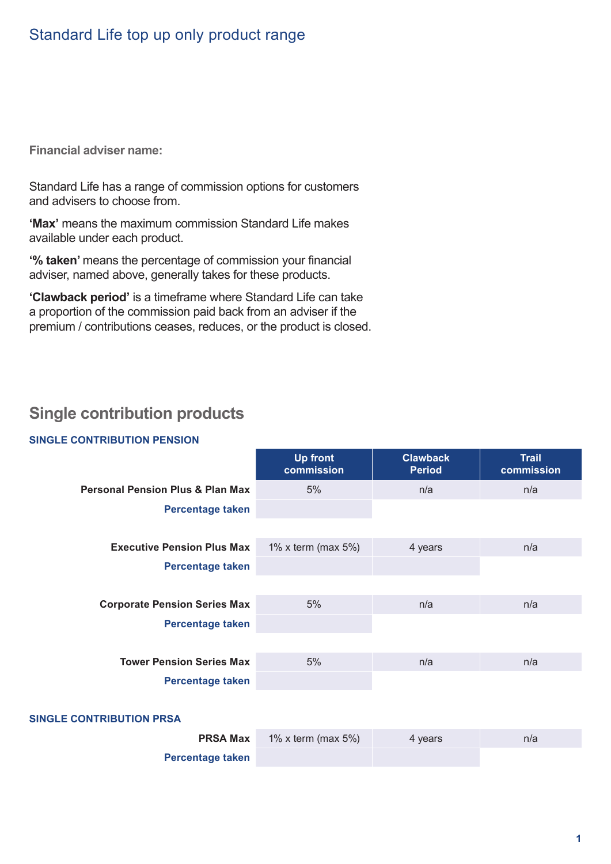**Financial adviser name:**

Standard Life has a range of commission options for customers and advisers to choose from.

**'Max'** means the maximum commission Standard Life makes available under each product.

**'% taken'** means the percentage of commission your financial adviser, named above, generally takes for these products.

**'Clawback period'** is a timeframe where Standard Life can take a proportion of the commission paid back from an adviser if the premium / contributions ceases, reduces, or the product is closed.

## **Single contribution products**

#### **SINGLE CONTRIBUTION PENSION**

|                                             | <b>Up front</b><br>commission | <b>Clawback</b><br><b>Period</b> | <b>Trail</b><br>commission |
|---------------------------------------------|-------------------------------|----------------------------------|----------------------------|
| <b>Personal Pension Plus &amp; Plan Max</b> | 5%                            | n/a                              | n/a                        |
| Percentage taken                            |                               |                                  |                            |
|                                             |                               |                                  |                            |
| <b>Executive Pension Plus Max</b>           | 1% x term (max $5\%$ )        | 4 years                          | n/a                        |
| Percentage taken                            |                               |                                  |                            |
|                                             |                               |                                  |                            |
| <b>Corporate Pension Series Max</b>         | 5%                            | n/a                              | n/a                        |
| Percentage taken                            |                               |                                  |                            |
|                                             |                               |                                  |                            |
| <b>Tower Pension Series Max</b>             | 5%                            | n/a                              | n/a                        |
| Percentage taken                            |                               |                                  |                            |
| <b>SINGLE CONTRIBUTION PRSA</b>             |                               |                                  |                            |

| <b>PRSA Max</b>         | 1% x term (max $5\%$ ) | 4 years | n/a |
|-------------------------|------------------------|---------|-----|
| <b>Percentage taken</b> |                        |         |     |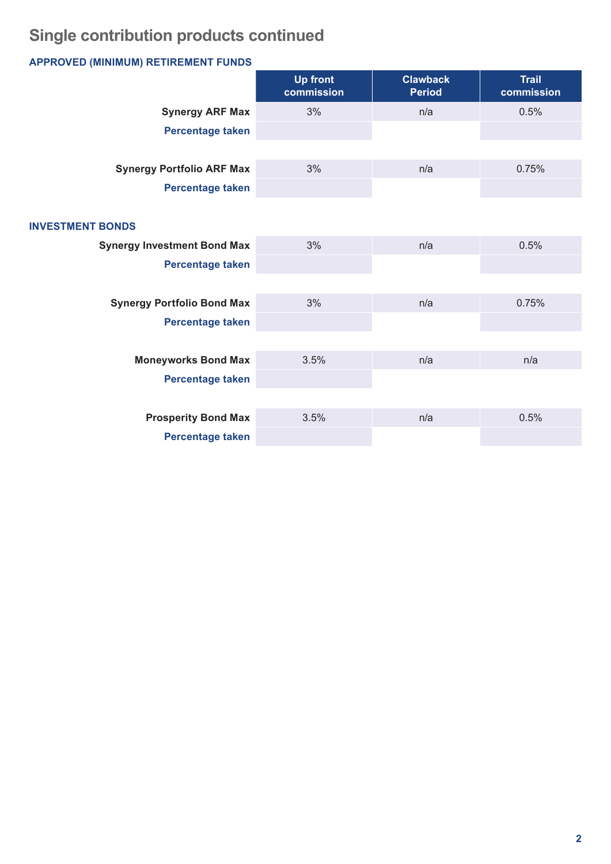# **Single contribution products continued**

## **APPROVED (MINIMUM) RETIREMENT FUNDS**

|                                    | <b>Up front</b><br>commission | <b>Clawback</b><br><b>Period</b> | <b>Trail</b><br>commission |
|------------------------------------|-------------------------------|----------------------------------|----------------------------|
| <b>Synergy ARF Max</b>             | 3%                            | n/a                              | 0.5%                       |
| Percentage taken                   |                               |                                  |                            |
|                                    |                               |                                  |                            |
| <b>Synergy Portfolio ARF Max</b>   | 3%                            | n/a                              | 0.75%                      |
| Percentage taken                   |                               |                                  |                            |
|                                    |                               |                                  |                            |
| <b>INVESTMENT BONDS</b>            |                               |                                  |                            |
| <b>Synergy Investment Bond Max</b> | 3%                            | n/a                              | 0.5%                       |
| <b>Percentage taken</b>            |                               |                                  |                            |
|                                    |                               |                                  |                            |
| <b>Synergy Portfolio Bond Max</b>  | 3%                            | n/a                              | 0.75%                      |
| <b>Percentage taken</b>            |                               |                                  |                            |
|                                    |                               |                                  |                            |
| <b>Moneyworks Bond Max</b>         | 3.5%                          | n/a                              | n/a                        |
| <b>Percentage taken</b>            |                               |                                  |                            |
|                                    |                               |                                  |                            |
| <b>Prosperity Bond Max</b>         | 3.5%                          | n/a                              | 0.5%                       |
| <b>Percentage taken</b>            |                               |                                  |                            |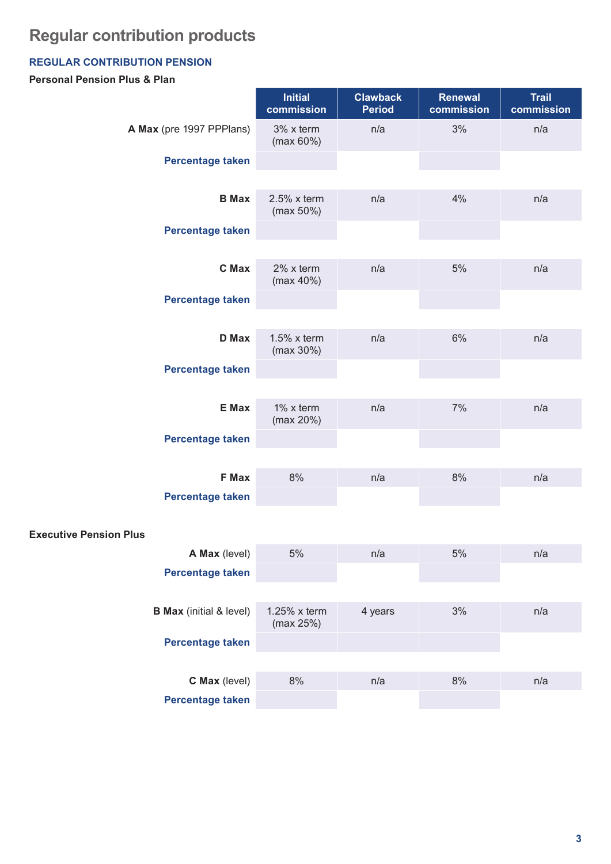# **Regular contribution products**

## **REGULAR CONTRIBUTION PENSION**

### **Personal Pension Plus & Plan**

|                                  | <b>Initial</b><br>commission   | <b>Clawback</b><br><b>Period</b> | <b>Renewal</b><br>commission | <b>Trail</b><br>commission |
|----------------------------------|--------------------------------|----------------------------------|------------------------------|----------------------------|
| A Max (pre 1997 PPPlans)         | 3% x term<br>(max 60%)         | n/a                              | 3%                           | n/a                        |
| Percentage taken                 |                                |                                  |                              |                            |
| <b>B</b> Max                     | $2.5\%$ x term<br>$(max 50\%)$ | n/a                              | 4%                           | n/a                        |
| Percentage taken                 |                                |                                  |                              |                            |
| C Max                            | $2\%$ x term<br>(max 40%)      | n/a                              | 5%                           | n/a                        |
| Percentage taken                 |                                |                                  |                              |                            |
| <b>D</b> Max                     | $1.5\%$ x term<br>$(max 30\%)$ | n/a                              | 6%                           | n/a                        |
| Percentage taken                 |                                |                                  |                              |                            |
| E Max                            | $1\%$ x term<br>(max 20%)      | n/a                              | 7%                           | n/a                        |
| <b>Percentage taken</b>          |                                |                                  |                              |                            |
| <b>F</b> Max<br>Percentage taken | 8%                             | n/a                              | 8%                           | n/a                        |
| Dlue                             |                                |                                  |                              |                            |

### **Executive Pension Plus**

| <b>A Max</b> (level)           | 5%                           | n/a     | 5% | n/a |
|--------------------------------|------------------------------|---------|----|-----|
| <b>Percentage taken</b>        |                              |         |    |     |
|                                |                              |         |    |     |
| <b>B Max</b> (initial & level) | $1.25\%$ x term<br>(max 25%) | 4 years | 3% | n/a |
| <b>Percentage taken</b>        |                              |         |    |     |
|                                |                              |         |    |     |
| <b>C Max</b> (level)           | 8%                           | n/a     | 8% | n/a |
| <b>Percentage taken</b>        |                              |         |    |     |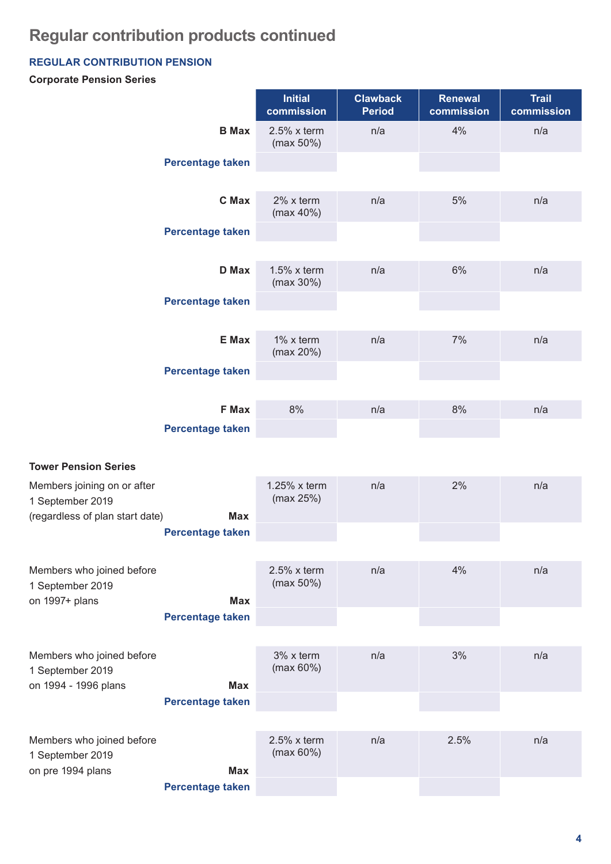## **Regular contribution products continued**

### **REGULAR CONTRIBUTION PENSION**

### **Corporate Pension Series**

|                                                                       |                                         | <b>Initial</b><br>commission   | <b>Clawback</b><br><b>Period</b> | <b>Renewal</b><br>commission | <b>Trail</b><br>commission |
|-----------------------------------------------------------------------|-----------------------------------------|--------------------------------|----------------------------------|------------------------------|----------------------------|
|                                                                       | <b>B</b> Max                            | $2.5\%$ x term<br>(max 50%)    | n/a                              | 4%                           | n/a                        |
|                                                                       | <b>Percentage taken</b>                 |                                |                                  |                              |                            |
|                                                                       | <b>C</b> Max                            | 2% x term<br>(max 40%)         | n/a                              | 5%                           | n/a                        |
|                                                                       | <b>Percentage taken</b>                 |                                |                                  |                              |                            |
|                                                                       | <b>D</b> Max                            | $1.5\%$ x term<br>(max 30%)    | n/a                              | 6%                           | n/a                        |
|                                                                       | Percentage taken                        |                                |                                  |                              |                            |
|                                                                       | E Max                                   | 1% x term<br>(max 20%)         | n/a                              | 7%                           | n/a                        |
|                                                                       | <b>Percentage taken</b>                 |                                |                                  |                              |                            |
|                                                                       | <b>F Max</b><br><b>Percentage taken</b> | 8%                             | n/a                              | 8%                           | n/a                        |
|                                                                       |                                         |                                |                                  |                              |                            |
| <b>Tower Pension Series</b>                                           |                                         |                                |                                  |                              |                            |
| Members joining on or after<br>1 September 2019                       | <b>Max</b>                              | 1.25% x term<br>(max 25%)      | n/a                              | 2%                           | n/a                        |
| (regardless of plan start date)                                       | <b>Percentage taken</b>                 |                                |                                  |                              |                            |
|                                                                       |                                         |                                |                                  |                              |                            |
| Members who joined before<br>1 September 2019<br>on 1997+ plans       | <b>Max</b>                              | $2.5\%$ x term<br>$(max 50\%)$ | n/a                              | 4%                           | n/a                        |
|                                                                       | Percentage taken                        |                                |                                  |                              |                            |
|                                                                       |                                         |                                |                                  |                              |                            |
| Members who joined before<br>1 September 2019<br>on 1994 - 1996 plans | <b>Max</b>                              | 3% x term<br>(max 60%)         | n/a                              | 3%                           | n/a                        |
|                                                                       | <b>Percentage taken</b>                 |                                |                                  |                              |                            |
| Members who joined before<br>1 September 2019                         |                                         | $2.5\%$ x term<br>(max 60%)    | n/a                              | 2.5%                         | n/a                        |
| on pre 1994 plans                                                     | <b>Max</b><br><b>Percentage taken</b>   |                                |                                  |                              |                            |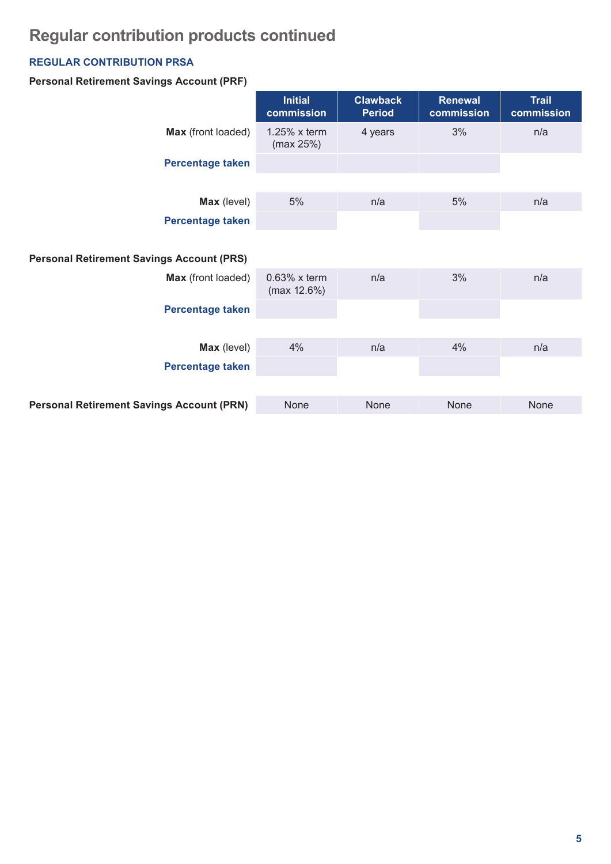# **Regular contribution products continued**

### **REGULAR CONTRIBUTION PRSA**

### **Personal Retirement Savings Account (PRF)**

|                                                  | <b>Initial</b><br>commission   | <b>Clawback</b><br><b>Period</b> | <b>Renewal</b><br>commission | <b>Trail</b><br>commission |
|--------------------------------------------------|--------------------------------|----------------------------------|------------------------------|----------------------------|
| Max (front loaded)                               | $1.25\%$ x term<br>(max 25%)   | 4 years                          | 3%                           | n/a                        |
| Percentage taken                                 |                                |                                  |                              |                            |
| Max (level)                                      | 5%                             | n/a                              | 5%                           | n/a                        |
| Percentage taken                                 |                                |                                  |                              |                            |
| <b>Personal Retirement Savings Account (PRS)</b> |                                |                                  |                              |                            |
| Max (front loaded)                               | $0.63\%$ x term<br>(max 12.6%) | n/a                              | 3%                           | n/a                        |
| Percentage taken                                 |                                |                                  |                              |                            |
|                                                  |                                |                                  |                              |                            |
| Max (level)                                      | 4%                             | n/a                              | 4%                           | n/a                        |
| Percentage taken                                 |                                |                                  |                              |                            |
| <b>Personal Retirement Savings Account (PRN)</b> | None                           | None                             | None                         | None                       |